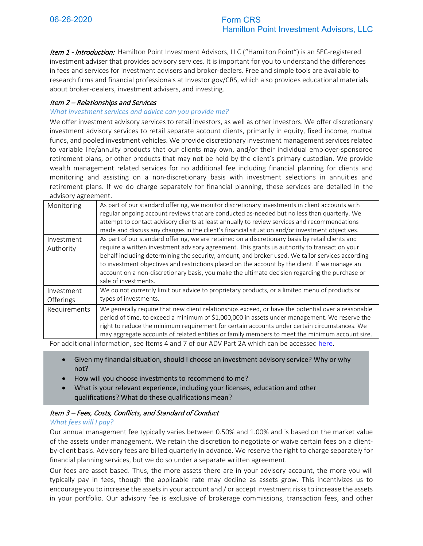Item 1 - Introduction: Hamilton Point Investment Advisors, LLC ("Hamilton Point") is an SEC-registered investment adviser that provides advisory services. It is important for you to understand the differences in fees and services for investment advisers and broker-dealers. Free and simple tools are available to research firms and financial professionals at Investor.gov/CRS, which also provides educational materials about broker-dealers, investment advisers, and investing.

# Item 2 – Relationships and Services

#### *What investment services and advice can you provide me?*

We offer investment advisory services to retail investors, as well as other investors. We offer discretionary investment advisory services to retail separate account clients, primarily in equity, fixed income, mutual funds, and pooled investment vehicles. We provide discretionary investment management services related to variable life/annuity products that our clients may own, and/or their individual employer-sponsored retirement plans, or other products that may not be held by the client's primary custodian. We provide wealth management related services for no additional fee including financial planning for clients and monitoring and assisting on a non-discretionary basis with investment selections in annuities and retirement plans. If we do charge separately for financial planning, these services are detailed in the advisory agreement.

| Monitoring              | As part of our standard offering, we monitor discretionary investments in client accounts with<br>regular ongoing account reviews that are conducted as-needed but no less than quarterly. We<br>attempt to contact advisory clients at least annually to review services and recommendations<br>made and discuss any changes in the client's financial situation and/or investment objectives.                                                                                                                                   |
|-------------------------|-----------------------------------------------------------------------------------------------------------------------------------------------------------------------------------------------------------------------------------------------------------------------------------------------------------------------------------------------------------------------------------------------------------------------------------------------------------------------------------------------------------------------------------|
| Investment<br>Authority | As part of our standard offering, we are retained on a discretionary basis by retail clients and<br>require a written investment advisory agreement. This grants us authority to transact on your<br>behalf including determining the security, amount, and broker used. We tailor services according<br>to investment objectives and restrictions placed on the account by the client. If we manage an<br>account on a non-discretionary basis, you make the ultimate decision regarding the purchase or<br>sale of investments. |
| Investment<br>Offerings | We do not currently limit our advice to proprietary products, or a limited menu of products or<br>types of investments.                                                                                                                                                                                                                                                                                                                                                                                                           |
| Requirements            | We generally require that new client relationships exceed, or have the potential over a reasonable<br>period of time, to exceed a minimum of \$1,000,000 in assets under management. We reserve the<br>right to reduce the minimum requirement for certain accounts under certain circumstances. We<br>may aggregate accounts of related entities or family members to meet the minimum account size.                                                                                                                             |

For additional information, see Items 4 and 7 of our ADV Part 2A which can be accessed [here.](https://adviserinfo.sec.gov/firm/summary/144534)

- Given my financial situation, should I choose an investment advisory service? Why or why not?
- How will you choose investments to recommend to me?
- What is your relevant experience, including your licenses, education and other qualifications? What do these qualifications mean?

# Item 3 – Fees, Costs, Conflicts, and Standard of Conduct

#### *What fees will I pay?*

Our annual management fee typically varies between 0.50% and 1.00% and is based on the market value of the assets under management. We retain the discretion to negotiate or waive certain fees on a clientby-client basis. Advisory fees are billed quarterly in advance. We reserve the right to charge separately for financial planning services, but we do so under a separate written agreement.

Our fees are asset based. Thus, the more assets there are in your advisory account, the more you will typically pay in fees, though the applicable rate may decline as assets grow. This incentivizes us to encourage you to increase the assets in your account and / or accept investment risks to increase the assets in your portfolio. Our advisory fee is exclusive of brokerage commissions, transaction fees, and other